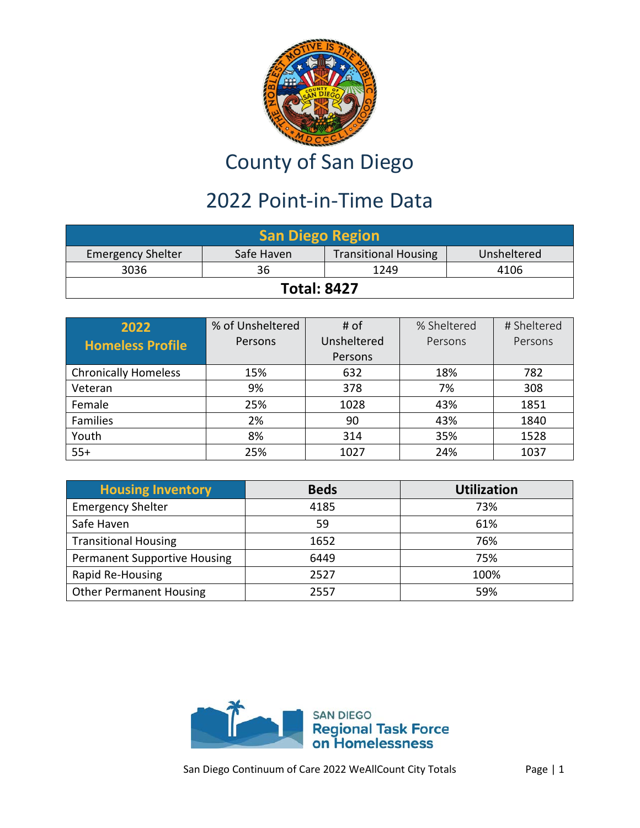

## County of San Diego

## 2022 Point-in-Time Data

| <b>San Diego Region</b>                                                              |  |  |  |  |  |
|--------------------------------------------------------------------------------------|--|--|--|--|--|
| <b>Transitional Housing</b><br>Safe Haven<br><b>Emergency Shelter</b><br>Unsheltered |  |  |  |  |  |
| 3036<br>1249<br>4106<br>36                                                           |  |  |  |  |  |
| <b>Total: 8427</b>                                                                   |  |  |  |  |  |

| 2022                        | % of Unsheltered | # of        | % Sheltered | # Sheltered |
|-----------------------------|------------------|-------------|-------------|-------------|
| <b>Homeless Profile</b>     | Persons          | Unsheltered | Persons     | Persons     |
|                             |                  | Persons     |             |             |
| <b>Chronically Homeless</b> | 15%              | 632         | 18%         | 782         |
| Veteran                     | 9%               | 378         | 7%          | 308         |
| Female                      | 25%              | 1028        | 43%         | 1851        |
| Families                    | 2%               | 90          | 43%         | 1840        |
| Youth                       | 8%               | 314         | 35%         | 1528        |
| $55+$                       | 25%              | 1027        | 24%         | 1037        |

| <b>Housing Inventory</b>            | <b>Beds</b> | <b>Utilization</b> |
|-------------------------------------|-------------|--------------------|
| <b>Emergency Shelter</b>            | 4185        | 73%                |
| Safe Haven                          | 59          | 61%                |
| <b>Transitional Housing</b>         | 1652        | 76%                |
| <b>Permanent Supportive Housing</b> | 6449        | 75%                |
| Rapid Re-Housing                    | 2527        | 100%               |
| <b>Other Permanent Housing</b>      | 2557        | 59%                |

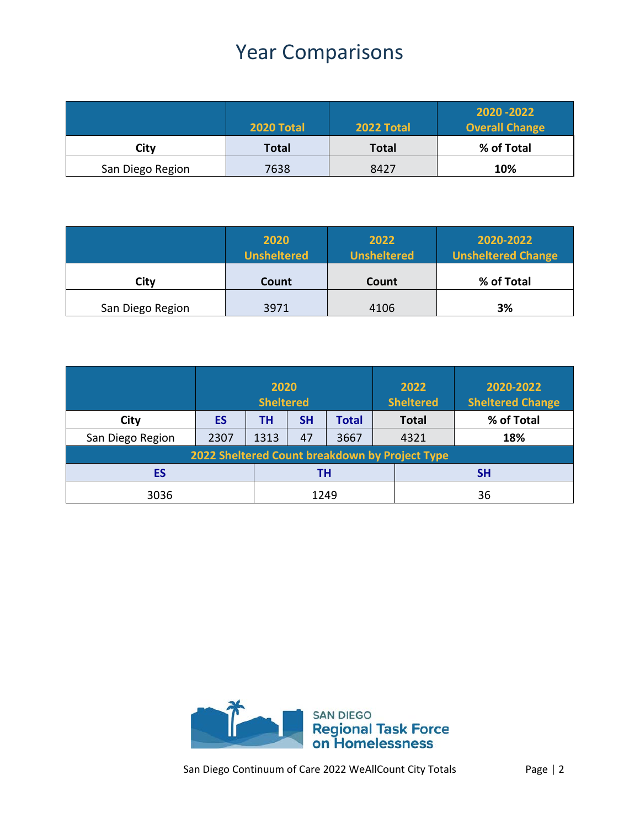## Year Comparisons

|                  | 2020 Total | 2022 Total   | 2020 - 2022<br><b>Overall Change</b> |
|------------------|------------|--------------|--------------------------------------|
| City             | Total      | <b>Total</b> | % of Total                           |
| San Diego Region | 7638       | 8427         | 10%                                  |

|                  | 2020<br><b>Unsheltered</b> | 2022<br><b>Unsheltered</b> | 2020-2022<br><b>Unsheltered Change</b> |
|------------------|----------------------------|----------------------------|----------------------------------------|
| Citv             | Count                      | Count                      | % of Total                             |
| San Diego Region | 3971                       | 4106                       | 3%                                     |

|                                                | 2020<br><b>Sheltered</b> |      |           |              | 2022<br><b>Sheltered</b> | 2020-2022<br><b>Sheltered Change</b> |
|------------------------------------------------|--------------------------|------|-----------|--------------|--------------------------|--------------------------------------|
| City                                           | ES                       | TН   | <b>SH</b> | <b>Total</b> | <b>Total</b>             | % of Total                           |
| San Diego Region                               | 2307                     | 1313 | 47        | 3667         | 4321                     | 18%                                  |
| 2022 Sheltered Count breakdown by Project Type |                          |      |           |              |                          |                                      |
| ES                                             | TΗ                       |      | <b>SH</b> |              |                          |                                      |
| 3036                                           |                          | 1249 |           |              | 36                       |                                      |

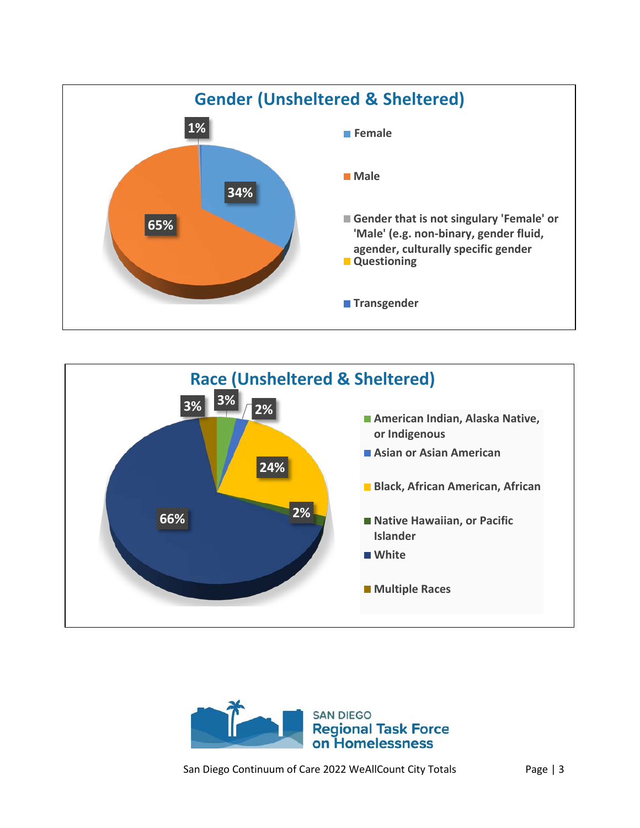